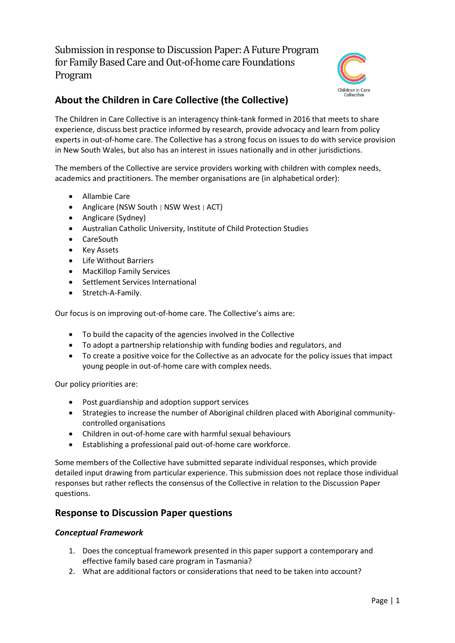Submission in response to Discussion Paper: A Future Program for Family Based Care and Out-of-home care Foundations Program



# **About the Children in Care Collective (the Collective)**

The Children in Care Collective is an interagency think-tank formed in 2016 that meets to share experience, discuss best practice informed by research, provide advocacy and learn from policy experts in out-of-home care. The Collective has a strong focus on issues to do with service provision in New South Wales, but also has an interest in issues nationally and in other jurisdictions.

The members of the Collective are service providers working with children with complex needs, academics and practitioners. The member organisations are (in alphabetical order):

- Allambie Care
- Anglicare (NSW South | NSW West | ACT)
- Anglicare (Sydney)
- Australian Catholic University, Institute of Child Protection Studies
- CareSouth
- Key Assets
- Life Without Barriers
- MacKillop Family Services
- Settlement Services International
- Stretch-A-Family.

Our focus is on improving out-of-home care. The Collective's aims are:

- To build the capacity of the agencies involved in the Collective
- To adopt a partnership relationship with funding bodies and regulators, and
- To create a positive voice for the Collective as an advocate for the policy issues that impact young people in out-of-home care with complex needs.

Our policy priorities are:

- Post guardianship and adoption support services
- Strategies to increase the number of Aboriginal children placed with Aboriginal communitycontrolled organisations
- Children in out-of-home care with harmful sexual behaviours
- Establishing a professional paid out-of-home care workforce.

Some members of the Collective have submitted separate individual responses, which provide detailed input drawing from particular experience. This submission does not replace those individual responses but rather reflects the consensus of the Collective in relation to the Discussion Paper questions.

### **Response to Discussion Paper questions**

#### *Conceptual Framework*

- 1. Does the conceptual framework presented in this paper support a contemporary and effective family based care program in Tasmania?
- 2. What are additional factors or considerations that need to be taken into account?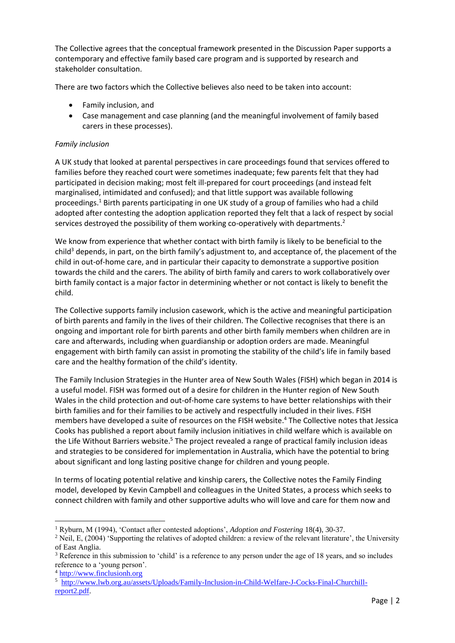The Collective agrees that the conceptual framework presented in the Discussion Paper supports a contemporary and effective family based care program and is supported by research and stakeholder consultation.

There are two factors which the Collective believes also need to be taken into account:

- Family inclusion, and
- Case management and case planning (and the meaningful involvement of family based carers in these processes).

#### *Family inclusion*

A UK study that looked at parental perspectives in care proceedings found that services offered to families before they reached court were sometimes inadequate; few parents felt that they had participated in decision making; most felt ill-prepared for court proceedings (and instead felt marginalised, intimidated and confused); and that little support was available following proceedings.<sup>1</sup> Birth parents participating in one UK study of a group of families who had a child adopted after contesting the adoption application reported they felt that a lack of respect by social services destroyed the possibility of them working co-operatively with departments.<sup>2</sup>

We know from experience that whether contact with birth family is likely to be beneficial to the child<sup>3</sup> depends, in part, on the birth family's adjustment to, and acceptance of, the placement of the child in out-of-home care, and in particular their capacity to demonstrate a supportive position towards the child and the carers. The ability of birth family and carers to work collaboratively over birth family contact is a major factor in determining whether or not contact is likely to benefit the child.

The Collective supports family inclusion casework, which is the active and meaningful participation of birth parents and family in the lives of their children. The Collective recognises that there is an ongoing and important role for birth parents and other birth family members when children are in care and afterwards, including when guardianship or adoption orders are made. Meaningful engagement with birth family can assist in promoting the stability of the child's life in family based care and the healthy formation of the child's identity.

The Family Inclusion Strategies in the Hunter area of New South Wales (FISH) which began in 2014 is a useful model. FISH was formed out of a desire for children in the Hunter region of New South Wales in the child protection and out-of-home care systems to have better relationships with their birth families and for their families to be actively and respectfully included in their lives. FISH members have developed a suite of resources on the FISH website.<sup>4</sup> The Collective notes that Jessica Cooks has published a report about family inclusion initiatives in child welfare which is available on the Life Without Barriers website.<sup>5</sup> The project revealed a range of practical family inclusion ideas and strategies to be considered for implementation in Australia, which have the potential to bring about significant and long lasting positive change for children and young people.

In terms of locating potential relative and kinship carers, the Collective notes the Family Finding model, developed by Kevin Campbell and colleagues in the United States, a process which seeks to connect children with family and other supportive adults who will love and care for them now and

**<sup>.</sup>** <sup>1</sup> Ryburn, M (1994), 'Contact after contested adoptions', *Adoption and Fostering* 18(4), 30-37.

<sup>&</sup>lt;sup>2</sup> Neil, E, (2004) 'Supporting the relatives of adopted children: a review of the relevant literature', the University of East Anglia.

<sup>&</sup>lt;sup>3</sup> Reference in this submission to 'child' is a reference to any person under the age of 18 years, and so includes reference to a 'young person'.

<sup>4</sup> [http://www.finclusionh.org](http://www.finclusionh.org/) 

<sup>5</sup> [http://www.lwb.org.au/assets/Uploads/Family-Inclusion-in-Child-Welfare-J-Cocks-Final-Churchill](http://www.lwb.org.au/assets/Uploads/Family-Inclusion-in-Child-Welfare-J-Cocks-Final-Churchill-report2.pdf)[report2.pdf.](http://www.lwb.org.au/assets/Uploads/Family-Inclusion-in-Child-Welfare-J-Cocks-Final-Churchill-report2.pdf)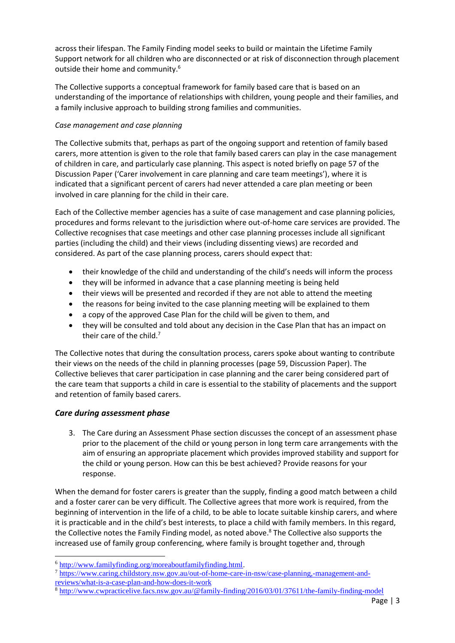across their lifespan. The Family Finding model seeks to build or maintain the Lifetime Family Support network for all children who are disconnected or at risk of disconnection through placement outside their home and community.<sup>6</sup>

The Collective supports a conceptual framework for family based care that is based on an understanding of the importance of relationships with children, young people and their families, and a family inclusive approach to building strong families and communities.

#### *Case management and case planning*

The Collective submits that, perhaps as part of the ongoing support and retention of family based carers, more attention is given to the role that family based carers can play in the case management of children in care, and particularly case planning. This aspect is noted briefly on page 57 of the Discussion Paper ('Carer involvement in care planning and care team meetings'), where it is indicated that a significant percent of carers had never attended a care plan meeting or been involved in care planning for the child in their care.

Each of the Collective member agencies has a suite of case management and case planning policies, procedures and forms relevant to the jurisdiction where out-of-home care services are provided. The Collective recognises that case meetings and other case planning processes include all significant parties (including the child) and their views (including dissenting views) are recorded and considered. As part of the case planning process, carers should expect that:

- their knowledge of the child and understanding of the child's needs will inform the process
- they will be informed in advance that a case planning meeting is being held
- their views will be presented and recorded if they are not able to attend the meeting
- the reasons for being invited to the case planning meeting will be explained to them
- a copy of the approved Case Plan for the child will be given to them, and
- they will be consulted and told about any decision in the Case Plan that has an impact on their care of the child. $<sup>7</sup>$ </sup>

The Collective notes that during the consultation process, carers spoke about wanting to contribute their views on the needs of the child in planning processes (page 59, Discussion Paper). The Collective believes that carer participation in case planning and the carer being considered part of the care team that supports a child in care is essential to the stability of placements and the support and retention of family based carers.

#### *Care during assessment phase*

1

3. The Care during an Assessment Phase section discusses the concept of an assessment phase prior to the placement of the child or young person in long term care arrangements with the aim of ensuring an appropriate placement which provides improved stability and support for the child or young person. How can this be best achieved? Provide reasons for your response.

When the demand for foster carers is greater than the supply, finding a good match between a child and a foster carer can be very difficult. The Collective agrees that more work is required, from the beginning of intervention in the life of a child, to be able to locate suitable kinship carers, and where it is practicable and in the child's best interests, to place a child with family members. In this regard, the Collective notes the Family Finding model, as noted above. <sup>8</sup> The Collective also supports the increased use of family group conferencing, where family is brought together and, through

<sup>6</sup> [http://www.familyfinding.org/moreaboutfamilyfinding.html.](http://www.familyfinding.org/moreaboutfamilyfinding.html)

<sup>7</sup> [https://www.caring.childstory.nsw.gov.au/out-of-home-care-in-nsw/case-planning,-management-and](https://www.caring.childstory.nsw.gov.au/out-of-home-care-in-nsw/case-planning,-management-and-reviews/what-is-a-case-plan-and-how-does-it-work)[reviews/what-is-a-case-plan-and-how-does-it-work](https://www.caring.childstory.nsw.gov.au/out-of-home-care-in-nsw/case-planning,-management-and-reviews/what-is-a-case-plan-and-how-does-it-work)

<sup>8</sup> <http://www.cwpracticelive.facs.nsw.gov.au/@family-finding/2016/03/01/37611/the-family-finding-model>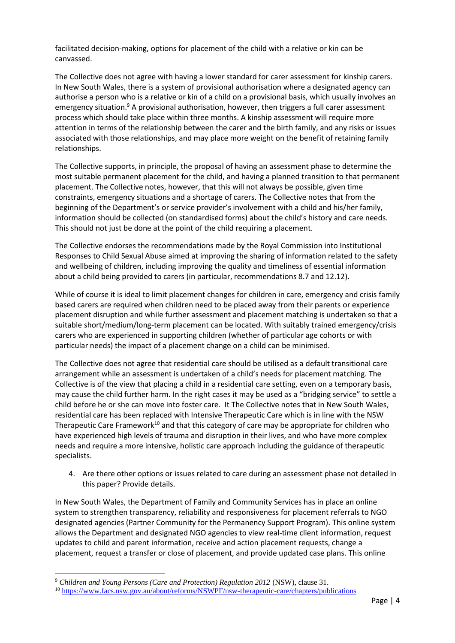facilitated decision-making, options for placement of the child with a relative or kin can be canvassed.

The Collective does not agree with having a lower standard for carer assessment for kinship carers. In New South Wales, there is a system of provisional authorisation where a designated agency can authorise a person who is a relative or kin of a child on a provisional basis, which usually involves an emergency situation.<sup>9</sup> A provisional authorisation, however, then triggers a full carer assessment process which should take place within three months. A kinship assessment will require more attention in terms of the relationship between the carer and the birth family, and any risks or issues associated with those relationships, and may place more weight on the benefit of retaining family relationships.

The Collective supports, in principle, the proposal of having an assessment phase to determine the most suitable permanent placement for the child, and having a planned transition to that permanent placement. The Collective notes, however, that this will not always be possible, given time constraints, emergency situations and a shortage of carers. The Collective notes that from the beginning of the Department's or service provider's involvement with a child and his/her family, information should be collected (on standardised forms) about the child's history and care needs. This should not just be done at the point of the child requiring a placement.

The Collective endorses the recommendations made by the Royal Commission into Institutional Responses to Child Sexual Abuse aimed at improving the sharing of information related to the safety and wellbeing of children, including improving the quality and timeliness of essential information about a child being provided to carers (in particular, recommendations 8.7 and 12.12).

While of course it is ideal to limit placement changes for children in care, emergency and crisis family based carers are required when children need to be placed away from their parents or experience placement disruption and while further assessment and placement matching is undertaken so that a suitable short/medium/long-term placement can be located. With suitably trained emergency/crisis carers who are experienced in supporting children (whether of particular age cohorts or with particular needs) the impact of a placement change on a child can be minimised.

The Collective does not agree that residential care should be utilised as a default transitional care arrangement while an assessment is undertaken of a child's needs for placement matching. The Collective is of the view that placing a child in a residential care setting, even on a temporary basis, may cause the child further harm. In the right cases it may be used as a "bridging service" to settle a child before he or she can move into foster care. It The Collective notes that in New South Wales, residential care has been replaced with Intensive Therapeutic Care which is in line with the NSW Therapeutic Care Framework<sup>10</sup> and that this category of care may be appropriate for children who have experienced high levels of trauma and disruption in their lives, and who have more complex needs and require a more intensive, holistic care approach including the guidance of therapeutic specialists.

4. Are there other options or issues related to care during an assessment phase not detailed in this paper? Provide details.

In New South Wales, the Department of Family and Community Services has in place an online system to strengthen transparency, reliability and responsiveness for placement referrals to NGO designated agencies (Partner Community for the Permanency Support Program). This online system allows the Department and designated NGO agencies to view real-time client information, request updates to child and parent information, receive and action placement requests, change a placement, request a transfer or close of placement, and provide updated case plans. This online

<sup>9</sup> *Children and Young Persons (Care and Protection) Regulation 2012* (NSW), clause 31.

<sup>10</sup> <https://www.facs.nsw.gov.au/about/reforms/NSWPF/nsw-therapeutic-care/chapters/publications>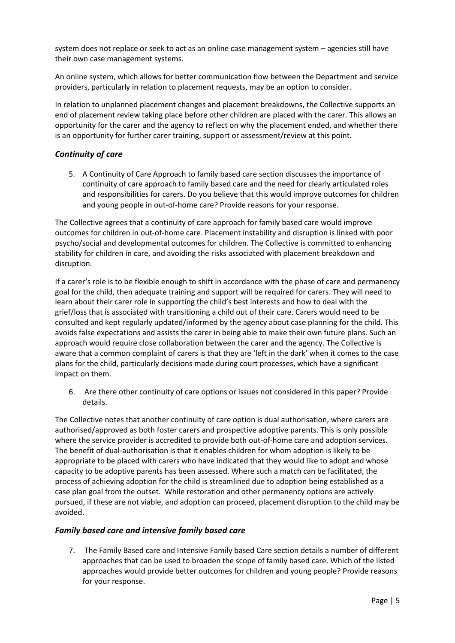system does not replace or seek to act as an online case management system – agencies still have their own case management systems.

An online system, which allows for better communication flow between the Department and service providers, particularly in relation to placement requests, may be an option to consider.

In relation to unplanned placement changes and placement breakdowns, the Collective supports an end of placement review taking place before other children are placed with the carer. This allows an opportunity for the carer and the agency to reflect on why the placement ended, and whether there is an opportunity for further carer training, support or assessment/review at this point.

#### *Continuity of care*

5. A Continuity of Care Approach to family based care section discusses the importance of continuity of care approach to family based care and the need for clearly articulated roles and responsibilities for carers. Do you believe that this would improve outcomes for children and young people in out-of-home care? Provide reasons for your response.

The Collective agrees that a continuity of care approach for family based care would improve outcomes for children in out-of-home care. Placement instability and disruption is linked with poor psycho/social and developmental outcomes for children. The Collective is committed to enhancing stability for children in care, and avoiding the risks associated with placement breakdown and disruption.

If a carer's role is to be flexible enough to shift in accordance with the phase of care and permanency goal for the child, then adequate training and support will be required for carers. They will need to learn about their carer role in supporting the child's best interests and how to deal with the grief/loss that is associated with transitioning a child out of their care. Carers would need to be consulted and kept regularly updated/informed by the agency about case planning for the child. This avoids false expectations and assists the carer in being able to make their own future plans. Such an approach would require close collaboration between the carer and the agency. The Collective is aware that a common complaint of carers is that they are 'left in the dark' when it comes to the case plans for the child, particularly decisions made during court processes, which have a significant impact on them.

6. Are there other continuity of care options or issues not considered in this paper? Provide details.

The Collective notes that another continuity of care option is dual authorisation, where carers are authorised/approved as both foster carers and prospective adoptive parents. This is only possible where the service provider is accredited to provide both out-of-home care and adoption services. The benefit of dual-authorisation is that it enables children for whom adoption is likely to be appropriate to be placed with carers who have indicated that they would like to adopt and whose capacity to be adoptive parents has been assessed. Where such a match can be facilitated, the process of achieving adoption for the child is streamlined due to adoption being established as a case plan goal from the outset. While restoration and other permanency options are actively pursued, if these are not viable, and adoption can proceed, placement disruption to the child may be avoided.

#### *Family based care and intensive family based care*

7. The Family Based care and Intensive Family based Care section details a number of different approaches that can be used to broaden the scope of family based care. Which of the listed approaches would provide better outcomes for children and young people? Provide reasons for your response.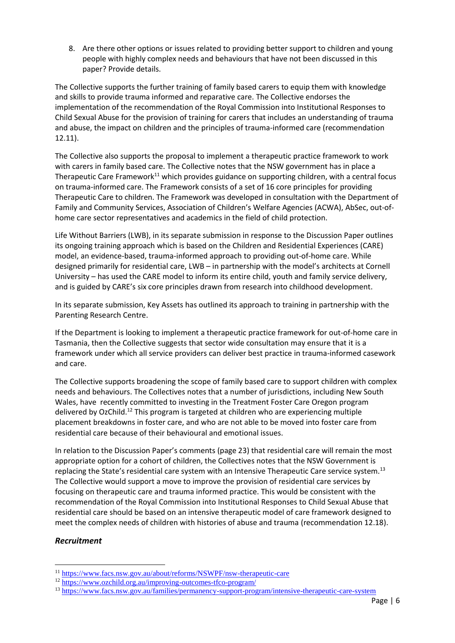8. Are there other options or issues related to providing better support to children and young people with highly complex needs and behaviours that have not been discussed in this paper? Provide details.

The Collective supports the further training of family based carers to equip them with knowledge and skills to provide trauma informed and reparative care. The Collective endorses the implementation of the recommendation of the Royal Commission into Institutional Responses to Child Sexual Abuse for the provision of training for carers that includes an understanding of trauma and abuse, the impact on children and the principles of trauma-informed care (recommendation 12.11).

The Collective also supports the proposal to implement a therapeutic practice framework to work with carers in family based care. The Collective notes that the NSW government has in place a Therapeutic Care Framework<sup>11</sup> which provides guidance on supporting children, with a central focus on trauma-informed care. The Framework consists of a set of 16 core principles for providing Therapeutic Care to children. The Framework was developed in consultation with the Department of Family and Community Services, Association of Children's Welfare Agencies (ACWA), AbSec, out-ofhome care sector representatives and academics in the field of child protection.

Life Without Barriers (LWB), in its separate submission in response to the Discussion Paper outlines its ongoing training approach which is based on the Children and Residential Experiences (CARE) model, an evidence-based, trauma-informed approach to providing out-of-home care. While designed primarily for residential care, LWB – in partnership with the model's architects at Cornell University – has used the CARE model to inform its entire child, youth and family service delivery, and is guided by CARE's six core principles drawn from research into childhood development.

In its separate submission, Key Assets has outlined its approach to training in partnership with the Parenting Research Centre.

If the Department is looking to implement a therapeutic practice framework for out-of-home care in Tasmania, then the Collective suggests that sector wide consultation may ensure that it is a framework under which all service providers can deliver best practice in trauma-informed casework and care.

The Collective supports broadening the scope of family based care to support children with complex needs and behaviours. The Collectives notes that a number of jurisdictions, including New South Wales, have recently committed to investing in the Treatment Foster Care Oregon program delivered by OzChild.<sup>12</sup> This program is targeted at children who are experiencing multiple placement breakdowns in foster care, and who are not able to be moved into foster care from residential care because of their behavioural and emotional issues.

In relation to the Discussion Paper's comments (page 23) that residential care will remain the most appropriate option for a cohort of children, the Collectives notes that the NSW Government is replacing the State's residential care system with an Intensive Therapeutic Care service system.<sup>13</sup> The Collective would support a move to improve the provision of residential care services by focusing on therapeutic care and trauma informed practice. This would be consistent with the recommendation of the Royal Commission into Institutional Responses to Child Sexual Abuse that residential care should be based on an intensive therapeutic model of care framework designed to meet the complex needs of children with histories of abuse and trauma (recommendation 12.18).

#### *Recruitment*

<sup>11</sup> <https://www.facs.nsw.gov.au/about/reforms/NSWPF/nsw-therapeutic-care>

<sup>12</sup> <https://www.ozchild.org.au/improving-outcomes-tfco-program/>

<sup>13</sup> <https://www.facs.nsw.gov.au/families/permanency-support-program/intensive-therapeutic-care-system>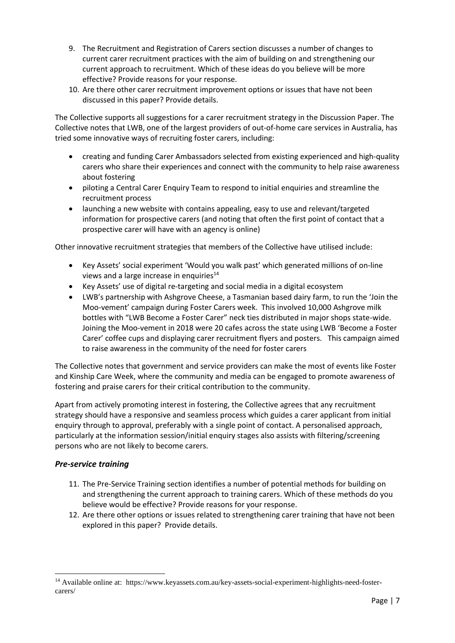- 9. The Recruitment and Registration of Carers section discusses a number of changes to current carer recruitment practices with the aim of building on and strengthening our current approach to recruitment. Which of these ideas do you believe will be more effective? Provide reasons for your response.
- 10. Are there other carer recruitment improvement options or issues that have not been discussed in this paper? Provide details.

The Collective supports all suggestions for a carer recruitment strategy in the Discussion Paper. The Collective notes that LWB, one of the largest providers of out-of-home care services in Australia, has tried some innovative ways of recruiting foster carers, including:

- creating and funding Carer Ambassadors selected from existing experienced and high-quality carers who share their experiences and connect with the community to help raise awareness about fostering
- piloting a Central Carer Enquiry Team to respond to initial enquiries and streamline the recruitment process
- launching a new website with contains appealing, easy to use and relevant/targeted information for prospective carers (and noting that often the first point of contact that a prospective carer will have with an agency is online)

Other innovative recruitment strategies that members of the Collective have utilised include:

- Key Assets' social experiment 'Would you walk past' which generated millions of on-line views and a large increase in enquiries<sup>14</sup>
- Key Assets' use of digital re-targeting and social media in a digital ecosystem
- LWB's partnership with Ashgrove Cheese, a Tasmanian based dairy farm, to run the 'Join the Moo-vement' campaign during Foster Carers week. This involved 10,000 Ashgrove milk bottles with "LWB Become a Foster Carer" neck ties distributed in major shops state-wide. Joining the Moo-vement in 2018 were 20 cafes across the state using LWB 'Become a Foster Carer' coffee cups and displaying carer recruitment flyers and posters. This campaign aimed to raise awareness in the community of the need for foster carers

The Collective notes that government and service providers can make the most of events like Foster and Kinship Care Week, where the community and media can be engaged to promote awareness of fostering and praise carers for their critical contribution to the community.

Apart from actively promoting interest in fostering, the Collective agrees that any recruitment strategy should have a responsive and seamless process which guides a carer applicant from initial enquiry through to approval, preferably with a single point of contact. A personalised approach, particularly at the information session/initial enquiry stages also assists with filtering/screening persons who are not likely to become carers.

### *Pre-service training*

- 11. The Pre-Service Training section identifies a number of potential methods for building on and strengthening the current approach to training carers. Which of these methods do you believe would be effective? Provide reasons for your response.
- 12. Are there other options or issues related to strengthening carer training that have not been explored in this paper? Provide details.

<sup>14</sup> Available online at: https://www.keyassets.com.au/key-assets-social-experiment-highlights-need-fostercarers/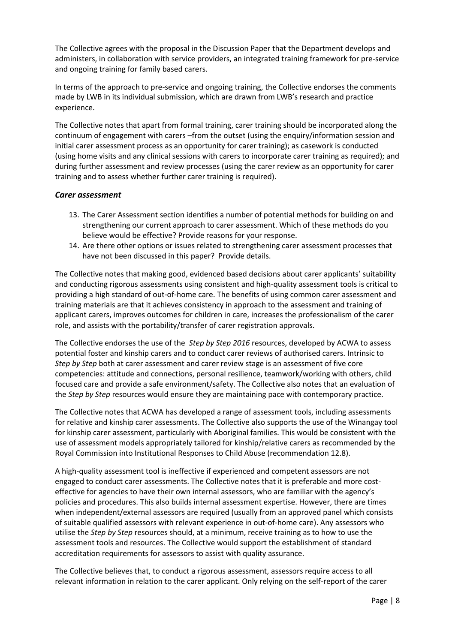The Collective agrees with the proposal in the Discussion Paper that the Department develops and administers, in collaboration with service providers, an integrated training framework for pre-service and ongoing training for family based carers.

In terms of the approach to pre-service and ongoing training, the Collective endorses the comments made by LWB in its individual submission, which are drawn from LWB's research and practice experience.

The Collective notes that apart from formal training, carer training should be incorporated along the continuum of engagement with carers –from the outset (using the enquiry/information session and initial carer assessment process as an opportunity for carer training); as casework is conducted (using home visits and any clinical sessions with carers to incorporate carer training as required); and during further assessment and review processes (using the carer review as an opportunity for carer training and to assess whether further carer training is required).

#### *Carer assessment*

- 13. The Carer Assessment section identifies a number of potential methods for building on and strengthening our current approach to carer assessment. Which of these methods do you believe would be effective? Provide reasons for your response.
- 14. Are there other options or issues related to strengthening carer assessment processes that have not been discussed in this paper? Provide details.

The Collective notes that making good, evidenced based decisions about carer applicants' suitability and conducting rigorous assessments using consistent and high-quality assessment tools is critical to providing a high standard of out-of-home care. The benefits of using common carer assessment and training materials are that it achieves consistency in approach to the assessment and training of applicant carers, improves outcomes for children in care, increases the professionalism of the carer role, and assists with the portability/transfer of carer registration approvals.

The Collective endorses the use of the *Step by Step 2016* resources, developed by ACWA to assess potential foster and kinship carers and to conduct carer reviews of authorised carers. Intrinsic to *Step by Step* both at carer assessment and carer review stage is an assessment of five core competencies: attitude and connections, personal resilience, teamwork/working with others, child focused care and provide a safe environment/safety. The Collective also notes that an evaluation of the *Step by Step* resources would ensure they are maintaining pace with contemporary practice.

The Collective notes that ACWA has developed a range of assessment tools, including assessments for relative and kinship carer assessments. The Collective also supports the use of the Winangay tool for kinship carer assessment, particularly with Aboriginal families. This would be consistent with the use of assessment models appropriately tailored for kinship/relative carers as recommended by the Royal Commission into Institutional Responses to Child Abuse (recommendation 12.8).

A high-quality assessment tool is ineffective if experienced and competent assessors are not engaged to conduct carer assessments. The Collective notes that it is preferable and more costeffective for agencies to have their own internal assessors, who are familiar with the agency's policies and procedures. This also builds internal assessment expertise. However, there are times when independent/external assessors are required (usually from an approved panel which consists of suitable qualified assessors with relevant experience in out-of-home care). Any assessors who utilise the *Step by Step* resources should, at a minimum, receive training as to how to use the assessment tools and resources. The Collective would support the establishment of standard accreditation requirements for assessors to assist with quality assurance.

The Collective believes that, to conduct a rigorous assessment, assessors require access to all relevant information in relation to the carer applicant. Only relying on the self-report of the carer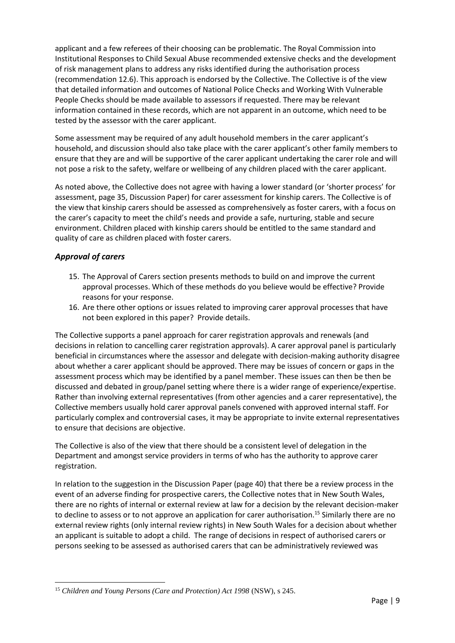applicant and a few referees of their choosing can be problematic. The Royal Commission into Institutional Responses to Child Sexual Abuse recommended extensive checks and the development of risk management plans to address any risks identified during the authorisation process (recommendation 12.6). This approach is endorsed by the Collective. The Collective is of the view that detailed information and outcomes of National Police Checks and Working With Vulnerable People Checks should be made available to assessors if requested. There may be relevant information contained in these records, which are not apparent in an outcome, which need to be tested by the assessor with the carer applicant.

Some assessment may be required of any adult household members in the carer applicant's household, and discussion should also take place with the carer applicant's other family members to ensure that they are and will be supportive of the carer applicant undertaking the carer role and will not pose a risk to the safety, welfare or wellbeing of any children placed with the carer applicant.

As noted above, the Collective does not agree with having a lower standard (or 'shorter process' for assessment, page 35, Discussion Paper) for carer assessment for kinship carers. The Collective is of the view that kinship carers should be assessed as comprehensively as foster carers, with a focus on the carer's capacity to meet the child's needs and provide a safe, nurturing, stable and secure environment. Children placed with kinship carers should be entitled to the same standard and quality of care as children placed with foster carers.

### *Approval of carers*

- 15. The Approval of Carers section presents methods to build on and improve the current approval processes. Which of these methods do you believe would be effective? Provide reasons for your response.
- 16. Are there other options or issues related to improving carer approval processes that have not been explored in this paper? Provide details.

The Collective supports a panel approach for carer registration approvals and renewals (and decisions in relation to cancelling carer registration approvals). A carer approval panel is particularly beneficial in circumstances where the assessor and delegate with decision-making authority disagree about whether a carer applicant should be approved. There may be issues of concern or gaps in the assessment process which may be identified by a panel member. These issues can then be then be discussed and debated in group/panel setting where there is a wider range of experience/expertise. Rather than involving external representatives (from other agencies and a carer representative), the Collective members usually hold carer approval panels convened with approved internal staff. For particularly complex and controversial cases, it may be appropriate to invite external representatives to ensure that decisions are objective.

The Collective is also of the view that there should be a consistent level of delegation in the Department and amongst service providers in terms of who has the authority to approve carer registration.

In relation to the suggestion in the Discussion Paper (page 40) that there be a review process in the event of an adverse finding for prospective carers, the Collective notes that in New South Wales, there are no rights of internal or external review at law for a decision by the relevant decision-maker to decline to assess or to not approve an application for carer authorisation.<sup>15</sup> Similarly there are no external review rights (only internal review rights) in New South Wales for a decision about whether an applicant is suitable to adopt a child. The range of decisions in respect of authorised carers or persons seeking to be assessed as authorised carers that can be administratively reviewed was

 $\overline{a}$ <sup>15</sup> *Children and Young Persons (Care and Protection) Act 1998* (NSW), s 245.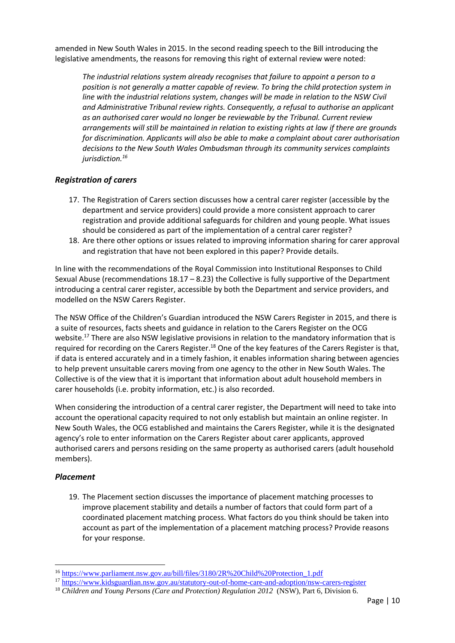amended in New South Wales in 2015. In the second reading speech to the Bill introducing the legislative amendments, the reasons for removing this right of external review were noted:

*The industrial relations system already recognises that failure to appoint a person to a position is not generally a matter capable of review. To bring the child protection system in*  line with the industrial relations system, changes will be made in relation to the NSW Civil *and Administrative Tribunal review rights. Consequently, a refusal to authorise an applicant as an authorised carer would no longer be reviewable by the Tribunal. Current review arrangements will still be maintained in relation to existing rights at law if there are grounds for discrimination. Applicants will also be able to make a complaint about carer authorisation decisions to the New South Wales Ombudsman through its community services complaints jurisdiction.<sup>16</sup>*

#### *Registration of carers*

- 17. The Registration of Carers section discusses how a central carer register (accessible by the department and service providers) could provide a more consistent approach to carer registration and provide additional safeguards for children and young people. What issues should be considered as part of the implementation of a central carer register?
- 18. Are there other options or issues related to improving information sharing for carer approval and registration that have not been explored in this paper? Provide details.

In line with the recommendations of the Royal Commission into Institutional Responses to Child Sexual Abuse (recommendations 18.17 – 8.23) the Collective is fully supportive of the Department introducing a central carer register, accessible by both the Department and service providers, and modelled on the NSW Carers Register.

The NSW Office of the Children's Guardian introduced the NSW Carers Register in 2015, and there is a suite of resources, facts sheets and guidance in relation to the Carers Register on the OCG website.<sup>17</sup> There are also NSW legislative provisions in relation to the mandatory information that is required for recording on the Carers Register.<sup>18</sup> One of the key features of the Carers Register is that, if data is entered accurately and in a timely fashion, it enables information sharing between agencies to help prevent unsuitable carers moving from one agency to the other in New South Wales. The Collective is of the view that it is important that information about adult household members in carer households (i.e. probity information, etc.) is also recorded.

When considering the introduction of a central carer register, the Department will need to take into account the operational capacity required to not only establish but maintain an online register. In New South Wales, the OCG established and maintains the Carers Register, while it is the designated agency's role to enter information on the Carers Register about carer applicants, approved authorised carers and persons residing on the same property as authorised carers (adult household members).

#### *Placement*

**.** 

19. The Placement section discusses the importance of placement matching processes to improve placement stability and details a number of factors that could form part of a coordinated placement matching process. What factors do you think should be taken into account as part of the implementation of a placement matching process? Provide reasons for your response.

<sup>16</sup> [https://www.parliament.nsw.gov.au/bill/files/3180/2R%20Child%20Protection\\_1.pdf](https://www.parliament.nsw.gov.au/bill/files/3180/2R%20Child%20Protection_1.pdf)

<sup>&</sup>lt;sup>17</sup> <https://www.kidsguardian.nsw.gov.au/statutory-out-of-home-care-and-adoption/nsw-carers-register>

<sup>18</sup> *Children and Young Persons (Care and Protection) Regulation 2012* (NSW), Part 6, Division 6.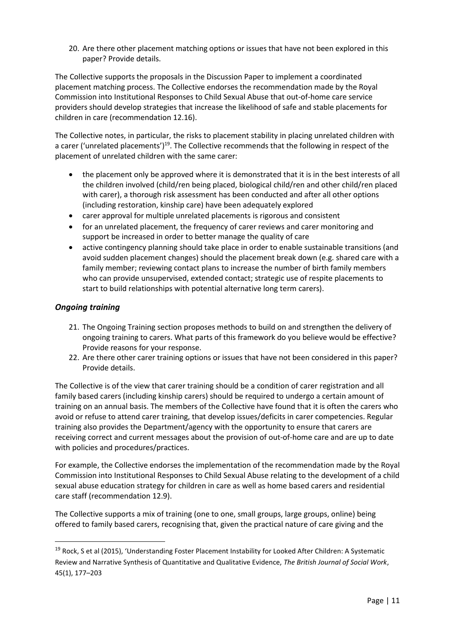20. Are there other placement matching options or issues that have not been explored in this paper? Provide details.

The Collective supports the proposals in the Discussion Paper to implement a coordinated placement matching process. The Collective endorses the recommendation made by the Royal Commission into Institutional Responses to Child Sexual Abuse that out-of-home care service providers should develop strategies that increase the likelihood of safe and stable placements for children in care (recommendation 12.16).

The Collective notes, in particular, the risks to placement stability in placing unrelated children with a carer ('unrelated placements')<sup>19</sup>. The Collective recommends that the following in respect of the placement of unrelated children with the same carer:

- the placement only be approved where it is demonstrated that it is in the best interests of all the children involved (child/ren being placed, biological child/ren and other child/ren placed with carer), a thorough risk assessment has been conducted and after all other options (including restoration, kinship care) have been adequately explored
- carer approval for multiple unrelated placements is rigorous and consistent
- for an unrelated placement, the frequency of carer reviews and carer monitoring and support be increased in order to better manage the quality of care
- active contingency planning should take place in order to enable sustainable transitions (and avoid sudden placement changes) should the placement break down (e.g. shared care with a family member; reviewing contact plans to increase the number of birth family members who can provide unsupervised, extended contact; strategic use of respite placements to start to build relationships with potential alternative long term carers).

### *Ongoing training*

**.** 

- 21. The Ongoing Training section proposes methods to build on and strengthen the delivery of ongoing training to carers. What parts of this framework do you believe would be effective? Provide reasons for your response.
- 22. Are there other carer training options or issues that have not been considered in this paper? Provide details.

The Collective is of the view that carer training should be a condition of carer registration and all family based carers (including kinship carers) should be required to undergo a certain amount of training on an annual basis. The members of the Collective have found that it is often the carers who avoid or refuse to attend carer training, that develop issues/deficits in carer competencies. Regular training also provides the Department/agency with the opportunity to ensure that carers are receiving correct and current messages about the provision of out-of-home care and are up to date with policies and procedures/practices.

For example, the Collective endorses the implementation of the recommendation made by the Royal Commission into Institutional Responses to Child Sexual Abuse relating to the development of a child sexual abuse education strategy for children in care as well as home based carers and residential care staff (recommendation 12.9).

The Collective supports a mix of training (one to one, small groups, large groups, online) being offered to family based carers, recognising that, given the practical nature of care giving and the

<sup>&</sup>lt;sup>19</sup> Rock, S et al (2015), 'Understanding Foster Placement Instability for Looked After Children: A Systematic Review and Narrative Synthesis of Quantitative and Qualitative Evidence, *The British Journal of Social Work*, 45(1), 177–203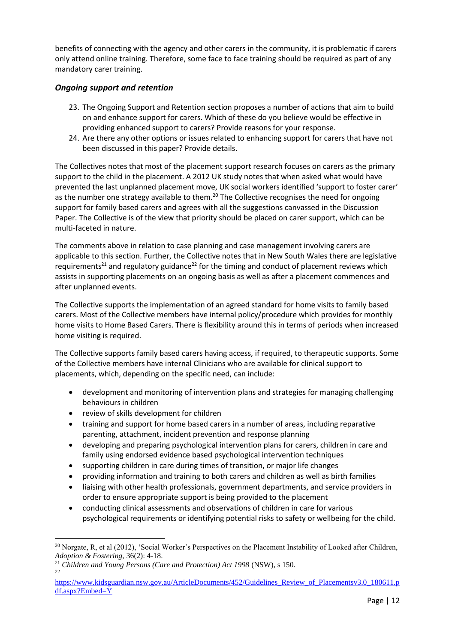benefits of connecting with the agency and other carers in the community, it is problematic if carers only attend online training. Therefore, some face to face training should be required as part of any mandatory carer training.

### *Ongoing support and retention*

- 23. The Ongoing Support and Retention section proposes a number of actions that aim to build on and enhance support for carers. Which of these do you believe would be effective in providing enhanced support to carers? Provide reasons for your response.
- 24. Are there any other options or issues related to enhancing support for carers that have not been discussed in this paper? Provide details.

The Collectives notes that most of the placement support research focuses on carers as the primary support to the child in the placement. A 2012 UK study notes that when asked what would have prevented the last unplanned placement move, UK social workers identified 'support to foster carer' as the number one strategy available to them.<sup>20</sup> The Collective recognises the need for ongoing support for family based carers and agrees with all the suggestions canvassed in the Discussion Paper. The Collective is of the view that priority should be placed on carer support, which can be multi-faceted in nature.

The comments above in relation to case planning and case management involving carers are applicable to this section. Further, the Collective notes that in New South Wales there are legislative requirements<sup>21</sup> and regulatory guidance<sup>22</sup> for the timing and conduct of placement reviews which assists in supporting placements on an ongoing basis as well as after a placement commences and after unplanned events.

The Collective supports the implementation of an agreed standard for home visits to family based carers. Most of the Collective members have internal policy/procedure which provides for monthly home visits to Home Based Carers. There is flexibility around this in terms of periods when increased home visiting is required.

The Collective supports family based carers having access, if required, to therapeutic supports. Some of the Collective members have internal Clinicians who are available for clinical support to placements, which, depending on the specific need, can include:

- development and monitoring of intervention plans and strategies for managing challenging behaviours in children
- review of skills development for children
- training and support for home based carers in a number of areas, including reparative parenting, attachment, incident prevention and response planning
- developing and preparing psychological intervention plans for carers, children in care and family using endorsed evidence based psychological intervention techniques
- supporting children in care during times of transition, or major life changes
- providing information and training to both carers and children as well as birth families
- liaising with other health professionals, government departments, and service providers in order to ensure appropriate support is being provided to the placement
- conducting clinical assessments and observations of children in care for various psychological requirements or identifying potential risks to safety or wellbeing for the child.

<sup>1</sup> <sup>20</sup> Norgate, R, et al (2012), 'Social Worker's Perspectives on the Placement Instability of Looked after Children, *Adoption & Fostering,* 36(2): 4-18.

<sup>21</sup> *Children and Young Persons (Care and Protection) Act 1998* (NSW), s 150. 22

[https://www.kidsguardian.nsw.gov.au/ArticleDocuments/452/Guidelines\\_Review\\_of\\_Placementsv3.0\\_180611.p](https://www.kidsguardian.nsw.gov.au/ArticleDocuments/452/Guidelines_Review_of_Placementsv3.0_180611.pdf.aspx?Embed=Y) [df.aspx?Embed=Y](https://www.kidsguardian.nsw.gov.au/ArticleDocuments/452/Guidelines_Review_of_Placementsv3.0_180611.pdf.aspx?Embed=Y)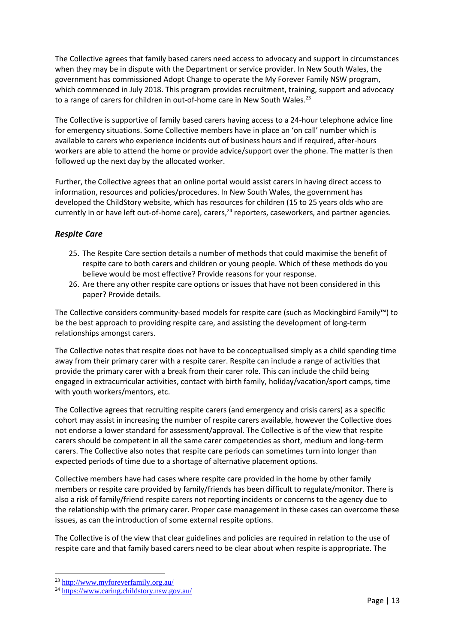The Collective agrees that family based carers need access to advocacy and support in circumstances when they may be in dispute with the Department or service provider. In New South Wales, the government has commissioned Adopt Change to operate the My Forever Family NSW program, which commenced in July 2018. This program provides recruitment, training, support and advocacy to a range of carers for children in out-of-home care in New South Wales.<sup>23</sup>

The Collective is supportive of family based carers having access to a 24-hour telephone advice line for emergency situations. Some Collective members have in place an 'on call' number which is available to carers who experience incidents out of business hours and if required, after-hours workers are able to attend the home or provide advice/support over the phone. The matter is then followed up the next day by the allocated worker.

Further, the Collective agrees that an online portal would assist carers in having direct access to information, resources and policies/procedures. In New South Wales, the government has developed the ChildStory website, which has resources for children (15 to 25 years olds who are currently in or have left out-of-home care), carers,  $24$  reporters, caseworkers, and partner agencies.

### *Respite Care*

- 25. The Respite Care section details a number of methods that could maximise the benefit of respite care to both carers and children or young people. Which of these methods do you believe would be most effective? Provide reasons for your response.
- 26. Are there any other respite care options or issues that have not been considered in this paper? Provide details.

The Collective considers community-based models for respite care (such as Mockingbird Family™) to be the best approach to providing respite care, and assisting the development of long-term relationships amongst carers.

The Collective notes that respite does not have to be conceptualised simply as a child spending time away from their primary carer with a respite carer. Respite can include a range of activities that provide the primary carer with a break from their carer role. This can include the child being engaged in extracurricular activities, contact with birth family, holiday/vacation/sport camps, time with youth workers/mentors, etc.

The Collective agrees that recruiting respite carers (and emergency and crisis carers) as a specific cohort may assist in increasing the number of respite carers available, however the Collective does not endorse a lower standard for assessment/approval. The Collective is of the view that respite carers should be competent in all the same carer competencies as short, medium and long-term carers. The Collective also notes that respite care periods can sometimes turn into longer than expected periods of time due to a shortage of alternative placement options.

Collective members have had cases where respite care provided in the home by other family members or respite care provided by family/friends has been difficult to regulate/monitor. There is also a risk of family/friend respite carers not reporting incidents or concerns to the agency due to the relationship with the primary carer. Proper case management in these cases can overcome these issues, as can the introduction of some external respite options.

The Collective is of the view that clear guidelines and policies are required in relation to the use of respite care and that family based carers need to be clear about when respite is appropriate. The

<sup>23</sup> <http://www.myforeverfamily.org.au/>

<sup>24</sup> <https://www.caring.childstory.nsw.gov.au/>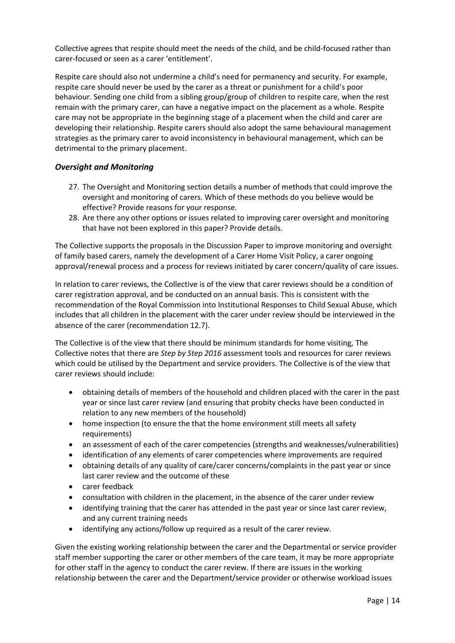Collective agrees that respite should meet the needs of the child, and be child-focused rather than carer-focused or seen as a carer 'entitlement'.

Respite care should also not undermine a child's need for permanency and security. For example, respite care should never be used by the carer as a threat or punishment for a child's poor behaviour. Sending one child from a sibling group/group of children to respite care, when the rest remain with the primary carer, can have a negative impact on the placement as a whole. Respite care may not be appropriate in the beginning stage of a placement when the child and carer are developing their relationship. Respite carers should also adopt the same behavioural management strategies as the primary carer to avoid inconsistency in behavioural management, which can be detrimental to the primary placement.

#### *Oversight and Monitoring*

- 27. The Oversight and Monitoring section details a number of methods that could improve the oversight and monitoring of carers. Which of these methods do you believe would be effective? Provide reasons for your response.
- 28. Are there any other options or issues related to improving carer oversight and monitoring that have not been explored in this paper? Provide details.

The Collective supports the proposals in the Discussion Paper to improve monitoring and oversight of family based carers, namely the development of a Carer Home Visit Policy, a carer ongoing approval/renewal process and a process for reviews initiated by carer concern/quality of care issues.

In relation to carer reviews, the Collective is of the view that carer reviews should be a condition of carer registration approval, and be conducted on an annual basis. This is consistent with the recommendation of the Royal Commission into Institutional Responses to Child Sexual Abuse, which includes that all children in the placement with the carer under review should be interviewed in the absence of the carer (recommendation 12.7).

The Collective is of the view that there should be minimum standards for home visiting, The Collective notes that there are *Step by Step 2016* assessment tools and resources for carer reviews which could be utilised by the Department and service providers. The Collective is of the view that carer reviews should include:

- obtaining details of members of the household and children placed with the carer in the past year or since last carer review (and ensuring that probity checks have been conducted in relation to any new members of the household)
- home inspection (to ensure the that the home environment still meets all safety requirements)
- an assessment of each of the carer competencies (strengths and weaknesses/vulnerabilities)
- identification of any elements of carer competencies where improvements are required
- obtaining details of any quality of care/carer concerns/complaints in the past year or since last carer review and the outcome of these
- carer feedback
- consultation with children in the placement, in the absence of the carer under review
- identifying training that the carer has attended in the past year or since last carer review, and any current training needs
- identifying any actions/follow up required as a result of the carer review.

Given the existing working relationship between the carer and the Departmental or service provider staff member supporting the carer or other members of the care team, it may be more appropriate for other staff in the agency to conduct the carer review. If there are issues in the working relationship between the carer and the Department/service provider or otherwise workload issues